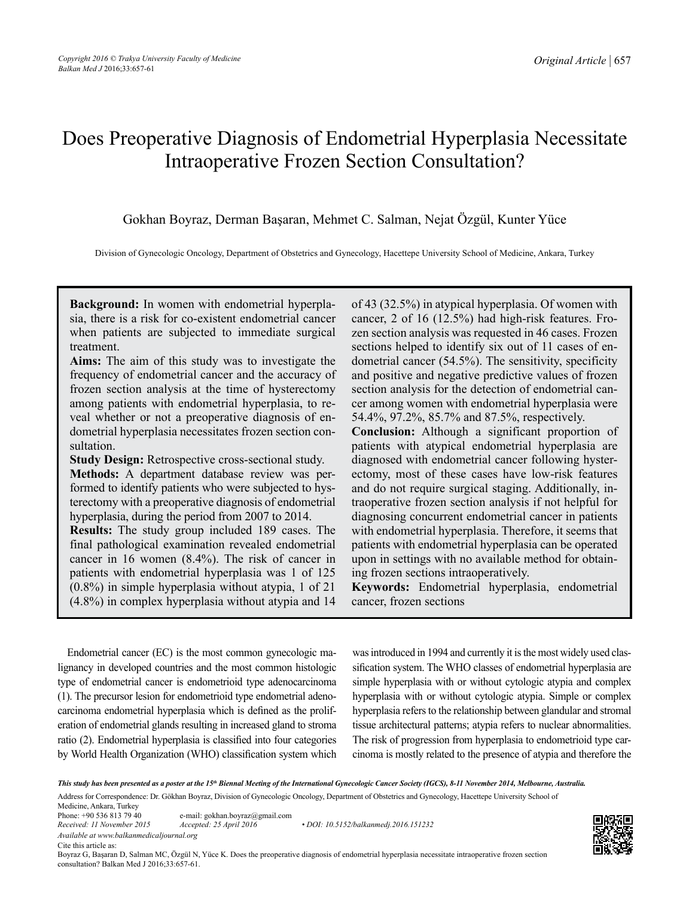# Does Preoperative Diagnosis of Endometrial Hyperplasia Necessitate Intraoperative Frozen Section Consultation?

Gokhan Boyraz, Derman Başaran, Mehmet C. Salman, Nejat Özgül, Kunter Yüce

Division of Gynecologic Oncology, Department of Obstetrics and Gynecology, Hacettepe University School of Medicine, Ankara, Turkey

**Background:** In women with endometrial hyperplasia, there is a risk for co-existent endometrial cancer when patients are subjected to immediate surgical treatment.

**Aims:** The aim of this study was to investigate the frequency of endometrial cancer and the accuracy of frozen section analysis at the time of hysterectomy among patients with endometrial hyperplasia, to reveal whether or not a preoperative diagnosis of endometrial hyperplasia necessitates frozen section consultation.

**Study Design:** Retrospective cross-sectional study.

**Methods:** A department database review was performed to identify patients who were subjected to hysterectomy with a preoperative diagnosis of endometrial hyperplasia, during the period from 2007 to 2014.

**Results:** The study group included 189 cases. The final pathological examination revealed endometrial cancer in 16 women (8.4%). The risk of cancer in patients with endometrial hyperplasia was 1 of 125 (0.8%) in simple hyperplasia without atypia, 1 of 21 (4.8%) in complex hyperplasia without atypia and 14

of 43 (32.5%) in atypical hyperplasia. Of women with cancer, 2 of 16 (12.5%) had high-risk features. Frozen section analysis was requested in 46 cases. Frozen sections helped to identify six out of 11 cases of endometrial cancer (54.5%). The sensitivity, specificity and positive and negative predictive values of frozen section analysis for the detection of endometrial cancer among women with endometrial hyperplasia were 54.4%, 97.2%, 85.7% and 87.5%, respectively. **Conclusion:** Although a significant proportion of patients with atypical endometrial hyperplasia are diagnosed with endometrial cancer following hysterectomy, most of these cases have low-risk features and do not require surgical staging. Additionally, intraoperative frozen section analysis if not helpful for diagnosing concurrent endometrial cancer in patients with endometrial hyperplasia. Therefore, it seems that patients with endometrial hyperplasia can be operated upon in settings with no available method for obtaining frozen sections intraoperatively.

**Keywords:** Endometrial hyperplasia, endometrial cancer, frozen sections

Endometrial cancer (EC) is the most common gynecologic malignancy in developed countries and the most common histologic type of endometrial cancer is endometrioid type adenocarcinoma (1). The precursor lesion for endometrioid type endometrial adenocarcinoma endometrial hyperplasia which is defined as the proliferation of endometrial glands resulting in increased gland to stroma ratio (2). Endometrial hyperplasia is classified into four categories by World Health Organization (WHO) classification system which

was introduced in 1994 and currently it is the most widely used classification system. The WHO classes of endometrial hyperplasia are simple hyperplasia with or without cytologic atypia and complex hyperplasia with or without cytologic atypia. Simple or complex hyperplasia refers to the relationship between glandular and stromal tissue architectural patterns; atypia refers to nuclear abnormalities. The risk of progression from hyperplasia to endometrioid type carcinoma is mostly related to the presence of atypia and therefore the

*This study has been presented as a poster at the 15th Biennal Meeting of the International Gynecologic Cancer Society (IGCS), 8-11 November 2014, Melbourne, Australia.* Address for Correspondence: Dr. Gökhan Boyraz, Division of Gynecologic Oncology, Department of Obstetrics and Gynecology, Hacettepe University School of

Medicine, Ankara, Turkey Phone: +90 536 813 79 40 e-mail: gokhan.boyraz@gmail.com

*Available at www.balkanmedicaljournal.org* Cite this article as:

*Received: 11 November 2015 Accepted: 25 April 2016 • DOI: 10.5152/balkanmedj.2016.151232*

Boyraz G, Başaran D, Salman MC, Özgül N, Yüce K. Does the preoperative diagnosis of endometrial hyperplasia necessitate intraoperative frozen section consultation? Balkan Med J 2016;33:657-61.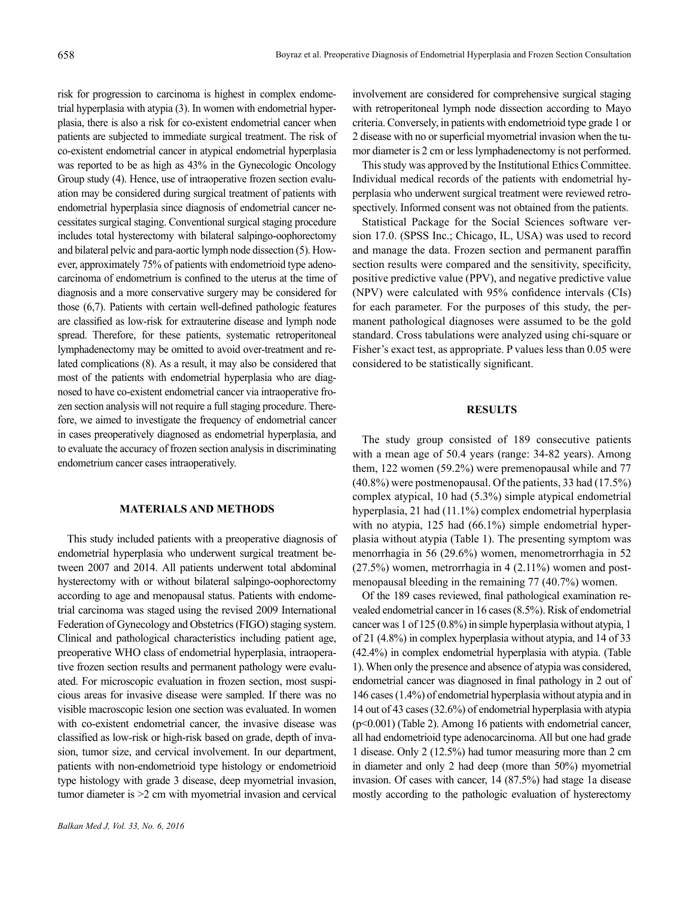risk for progression to carcinoma is highest in complex endometrial hyperplasia with atypia (3). In women with endometrial hyperplasia, there is also a risk for co-existent endometrial cancer when patients are subjected to immediate surgical treatment. The risk of co-existent endometrial cancer in atypical endometrial hyperplasia was reported to be as high as 43% in the Gynecologic Oncology Group study (4). Hence, use of intraoperative frozen section evaluation may be considered during surgical treatment of patients with endometrial hyperplasia since diagnosis of endometrial cancer necessitates surgical staging. Conventional surgical staging procedure includes total hysterectomy with bilateral salpingo-oophorectomy and bilateral pelvic and para-aortic lymph node dissection (5). However, approximately 75% of patients with endometrioid type adenocarcinoma of endometrium is confined to the uterus at the time of diagnosis and a more conservative surgery may be considered for those (6,7). Patients with certain well-defined pathologic features are classified as low-risk for extrauterine disease and lymph node spread. Therefore, for these patients, systematic retroperitoneal lymphadenectomy may be omitted to avoid over-treatment and related complications (8). As a result, it may also be considered that most of the patients with endometrial hyperplasia who are diagnosed to have co-existent endometrial cancer via intraoperative frozen section analysis will not require a full staging procedure. Therefore, we aimed to investigate the frequency of endometrial cancer in cases preoperatively diagnosed as endometrial hyperplasia, and to evaluate the accuracy of frozen section analysis in discriminating endometrium cancer cases intraoperatively.

## **MATERIALS AND METHODS**

This study included patients with a preoperative diagnosis of endometrial hyperplasia who underwent surgical treatment between 2007 and 2014. All patients underwent total abdominal hysterectomy with or without bilateral salpingo-oophorectomy according to age and menopausal status. Patients with endometrial carcinoma was staged using the revised 2009 International Federation of Gynecology and Obstetrics (FIGO) staging system. Clinical and pathological characteristics including patient age, preoperative WHO class of endometrial hyperplasia, intraoperative frozen section results and permanent pathology were evaluated. For microscopic evaluation in frozen section, most suspicious areas for invasive disease were sampled. If there was no visible macroscopic lesion one section was evaluated. In women with co-existent endometrial cancer, the invasive disease was classified as low-risk or high-risk based on grade, depth of invasion, tumor size, and cervical involvement. In our department, patients with non-endometrioid type histology or endometrioid type histology with grade 3 disease, deep myometrial invasion, tumor diameter is >2 cm with myometrial invasion and cervical

involvement are considered for comprehensive surgical staging with retroperitoneal lymph node dissection according to Mayo criteria. Conversely, in patients with endometrioid type grade 1 or 2 disease with no or superficial myometrial invasion when the tumor diameter is 2 cm or less lymphadenectomy is not performed.

This study was approved by the Institutional Ethics Committee. Individual medical records of the patients with endometrial hyperplasia who underwent surgical treatment were reviewed retrospectively. Informed consent was not obtained from the patients.

Statistical Package for the Social Sciences software version 17.0. (SPSS Inc.; Chicago, IL, USA) was used to record and manage the data. Frozen section and permanent paraffin section results were compared and the sensitivity, specificity, positive predictive value (PPV), and negative predictive value (NPV) were calculated with 95% confidence intervals (CIs) for each parameter. For the purposes of this study, the permanent pathological diagnoses were assumed to be the gold standard. Cross tabulations were analyzed using chi-square or Fisher's exact test, as appropriate. P values less than 0.05 were considered to be statistically significant.

### **RESULTS**

The study group consisted of 189 consecutive patients with a mean age of 50.4 years (range: 34-82 years). Among them, 122 women (59.2%) were premenopausal while and 77 (40.8%) were postmenopausal. Of the patients, 33 had (17.5%) complex atypical, 10 had (5.3%) simple atypical endometrial hyperplasia, 21 had (11.1%) complex endometrial hyperplasia with no atypia, 125 had (66.1%) simple endometrial hyperplasia without atypia (Table 1). The presenting symptom was menorrhagia in 56 (29.6%) women, menometrorrhagia in 52 (27.5%) women, metrorrhagia in 4 (2.11%) women and postmenopausal bleeding in the remaining 77 (40.7%) women.

Of the 189 cases reviewed, final pathological examination revealed endometrial cancer in 16 cases (8.5%). Risk of endometrial cancer was 1 of 125 (0.8%) in simple hyperplasia without atypia, 1 of 21 (4.8%) in complex hyperplasia without atypia, and 14 of 33 (42.4%) in complex endometrial hyperplasia with atypia. (Table 1). When only the presence and absence of atypia was considered, endometrial cancer was diagnosed in final pathology in 2 out of 146 cases (1.4%) of endometrial hyperplasia without atypia and in 14 out of 43 cases (32.6%) of endometrial hyperplasia with atypia (p<0.001) (Table 2). Among 16 patients with endometrial cancer, all had endometrioid type adenocarcinoma. All but one had grade 1 disease. Only 2 (12.5%) had tumor measuring more than 2 cm in diameter and only 2 had deep (more than 50%) myometrial invasion. Of cases with cancer, 14 (87.5%) had stage 1a disease mostly according to the pathologic evaluation of hysterectomy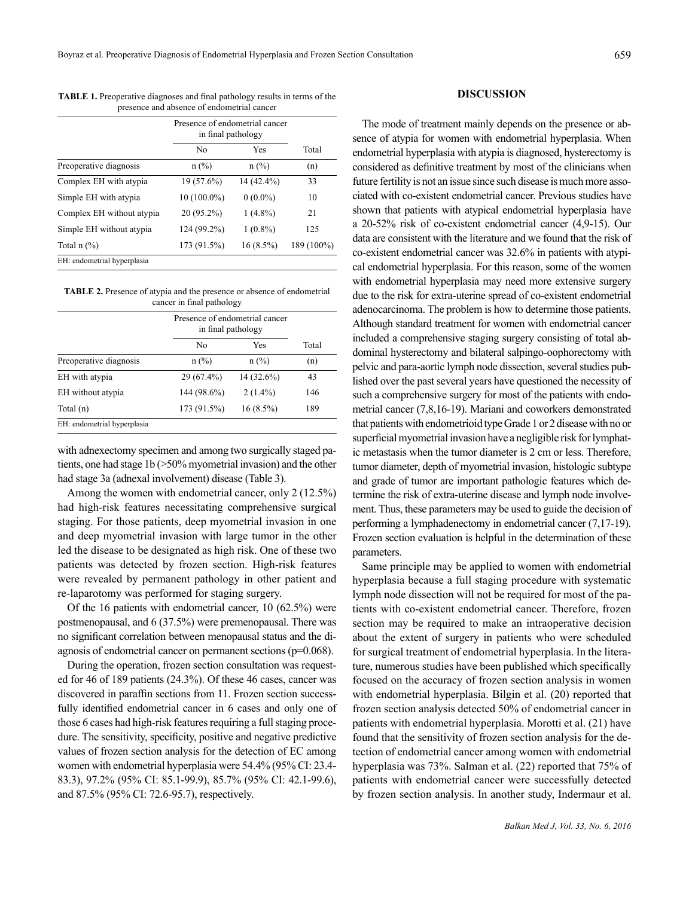**TABLE 1.** Preoperative diagnoses and final pathology results in terms of the presence and absence of endometrial cancer

|                             | Presence of endometrial cancer<br>in final pathology |             |            |
|-----------------------------|------------------------------------------------------|-------------|------------|
|                             | No                                                   | Yes         | Total      |
| Preoperative diagnosis      | $n$ (%)                                              | $n$ (%)     | (n)        |
| Complex EH with atypia      | 19 (57.6%)                                           | 14 (42.4%)  | 33         |
| Simple EH with atypia       | $10(100.0\%)$                                        | $0(0.0\%)$  | 10         |
| Complex EH without atypia   | $20(95.2\%)$                                         | $1(4.8\%)$  | 21         |
| Simple EH without atypia    | 124 (99.2%)                                          | $1(0.8\%)$  | 125        |
| Total $n$ $(\%)$            | 173 (91.5%)                                          | $16(8.5\%)$ | 189 (100%) |
| EH: endometrial hyperplasia |                                                      |             |            |

**TABLE 2.** Presence of atypia and the presence or absence of endometrial cancer in final pathology

|                             | Presence of endometrial cancer<br>in final pathology |              |       |
|-----------------------------|------------------------------------------------------|--------------|-------|
|                             | No                                                   | Yes          | Total |
| Preoperative diagnosis      | $n$ (%)                                              | $n$ (%)      | (n)   |
| EH with atypia              | 29 (67.4%)                                           | $14(32.6\%)$ | 43    |
| EH without atypia           | 144 (98.6%)                                          | $2(1.4\%)$   | 146   |
| Total (n)                   | 173 (91.5%)                                          | $16(8.5\%)$  | 189   |
| EH: endometrial hyperplasia |                                                      |              |       |

with adnexectomy specimen and among two surgically staged patients, one had stage 1b (>50% myometrial invasion) and the other had stage 3a (adnexal involvement) disease (Table 3).

Among the women with endometrial cancer, only 2 (12.5%) had high-risk features necessitating comprehensive surgical staging. For those patients, deep myometrial invasion in one and deep myometrial invasion with large tumor in the other led the disease to be designated as high risk. One of these two patients was detected by frozen section. High-risk features were revealed by permanent pathology in other patient and re-laparotomy was performed for staging surgery.

Of the 16 patients with endometrial cancer, 10 (62.5%) were postmenopausal, and 6 (37.5%) were premenopausal. There was no significant correlation between menopausal status and the diagnosis of endometrial cancer on permanent sections (p=0.068).

During the operation, frozen section consultation was requested for 46 of 189 patients (24.3%). Of these 46 cases, cancer was discovered in paraffin sections from 11. Frozen section successfully identified endometrial cancer in 6 cases and only one of those 6 cases had high-risk features requiring a full staging procedure. The sensitivity, specificity, positive and negative predictive values of frozen section analysis for the detection of EC among women with endometrial hyperplasia were 54.4% (95% CI: 23.4- 83.3), 97.2% (95% CI: 85.1-99.9), 85.7% (95% CI: 42.1-99.6), and 87.5% (95% CI: 72.6-95.7), respectively.

## **DISCUSSION**

The mode of treatment mainly depends on the presence or absence of atypia for women with endometrial hyperplasia. When endometrial hyperplasia with atypia is diagnosed, hysterectomy is considered as definitive treatment by most of the clinicians when future fertility is not an issue since such disease is much more associated with co-existent endometrial cancer. Previous studies have shown that patients with atypical endometrial hyperplasia have a 20-52% risk of co-existent endometrial cancer (4,9-15). Our data are consistent with the literature and we found that the risk of co-existent endometrial cancer was 32.6% in patients with atypical endometrial hyperplasia. For this reason, some of the women with endometrial hyperplasia may need more extensive surgery due to the risk for extra-uterine spread of co-existent endometrial adenocarcinoma. The problem is how to determine those patients. Although standard treatment for women with endometrial cancer included a comprehensive staging surgery consisting of total abdominal hysterectomy and bilateral salpingo-oophorectomy with pelvic and para-aortic lymph node dissection, several studies published over the past several years have questioned the necessity of such a comprehensive surgery for most of the patients with endometrial cancer (7,8,16-19). Mariani and coworkers demonstrated that patients with endometrioid type Grade 1 or 2 disease with no or superficial myometrial invasion have a negligible risk for lymphatic metastasis when the tumor diameter is 2 cm or less. Therefore, tumor diameter, depth of myometrial invasion, histologic subtype and grade of tumor are important pathologic features which determine the risk of extra-uterine disease and lymph node involvement. Thus, these parameters may be used to guide the decision of performing a lymphadenectomy in endometrial cancer (7,17-19). Frozen section evaluation is helpful in the determination of these parameters.

Same principle may be applied to women with endometrial hyperplasia because a full staging procedure with systematic lymph node dissection will not be required for most of the patients with co-existent endometrial cancer. Therefore, frozen section may be required to make an intraoperative decision about the extent of surgery in patients who were scheduled for surgical treatment of endometrial hyperplasia. In the literature, numerous studies have been published which specifically focused on the accuracy of frozen section analysis in women with endometrial hyperplasia. Bilgin et al. (20) reported that frozen section analysis detected 50% of endometrial cancer in patients with endometrial hyperplasia. Morotti et al. (21) have found that the sensitivity of frozen section analysis for the detection of endometrial cancer among women with endometrial hyperplasia was 73%. Salman et al. (22) reported that 75% of patients with endometrial cancer were successfully detected by frozen section analysis. In another study, Indermaur et al.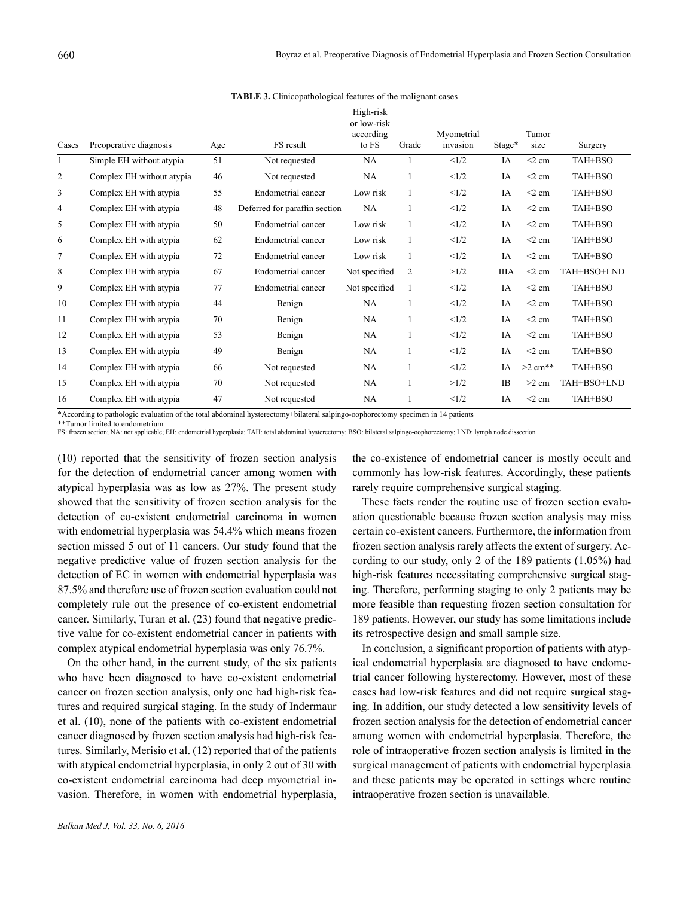| Cases | Preoperative diagnosis    | Age | FS result                     | High-risk<br>or low-risk<br>according<br>to FS | Grade        | Myometrial<br>invasion | Stage*      | Tumor<br>size | Surgery     |
|-------|---------------------------|-----|-------------------------------|------------------------------------------------|--------------|------------------------|-------------|---------------|-------------|
| 1     | Simple EH without atypia  | 51  | Not requested                 | NA                                             | 1            | <1/2                   | IA          | $<$ 2 cm      | TAH+BSO     |
| 2     | Complex EH without atypia | 46  | Not requested                 | NA                                             | 1            | <1/2                   | IA          | $<$ 2 cm      | TAH+BSO     |
| 3     | Complex EH with atypia    | 55  | Endometrial cancer            | Low risk                                       | $\mathbf{1}$ | <1/2                   | IA          | $<$ 2 cm      | TAH+BSO     |
| 4     | Complex EH with atypia    | 48  | Deferred for paraffin section | NA                                             | 1            | <1/2                   | IA          | $<$ 2 cm      | TAH+BSO     |
| 5     | Complex EH with atypia    | 50  | Endometrial cancer            | Low risk                                       | 1            | <1/2                   | IA          | $<$ 2 cm      | TAH+BSO     |
| 6     | Complex EH with atypia    | 62  | Endometrial cancer            | Low risk                                       | $\mathbf{1}$ | <1/2                   | IA          | $<$ 2 cm      | TAH+BSO     |
| 7     | Complex EH with atypia    | 72  | Endometrial cancer            | Low risk                                       | $\mathbf{1}$ | <1/2                   | IA          | $<$ 2 cm      | TAH+BSO     |
| 8     | Complex EH with atypia    | 67  | Endometrial cancer            | Not specified                                  | 2            | >1/2                   | <b>IIIA</b> | $<$ 2 cm      | TAH+BSO+LND |
| 9     | Complex EH with atypia    | 77  | Endometrial cancer            | Not specified                                  | 1            | <1/2                   | IA          | $<$ 2 cm      | TAH+BSO     |
| 10    | Complex EH with atypia    | 44  | Benign                        | NA                                             | 1            | <1/2                   | IA          | $<$ 2 cm      | TAH+BSO     |
| 11    | Complex EH with atypia    | 70  | Benign                        | NA                                             | 1            | <1/2                   | IA          | $<$ 2 cm      | TAH+BSO     |
| 12    | Complex EH with atypia    | 53  | Benign                        | NA                                             | $\mathbf{1}$ | <1/2                   | IA          | $<$ 2 cm      | TAH+BSO     |
| 13    | Complex EH with atypia    | 49  | Benign                        | NA                                             | 1            | <1/2                   | IA          | $<$ 2 cm      | TAH+BSO     |
| 14    | Complex EH with atypia    | 66  | Not requested                 | NA                                             | 1            | <1/2                   | IA          | $>2$ cm**     | TAH+BSO     |
| 15    | Complex EH with atypia    | 70  | Not requested                 | NA                                             | 1            | >1/2                   | <b>IB</b>   | $>2$ cm       | TAH+BSO+LND |
| 16    | Complex EH with atypia    | 47  | Not requested                 | NA                                             | 1            | <1/2                   | IA          | $<$ 2 cm      | TAH+BSO     |

**TABLE 3.** Clinicopathological features of the malignant cases

\*According to pathologic evaluation of the total abdominal hysterectomy+bilateral salpingo-oophorectomy specimen in 14 patients

FS: frozen section; NA: not applicable; EH: endometrial hyperplasia; TAH: total abdominal hysterectomy; BSO: bilateral salpingo-oophorectomy; LND: lymph node dissection

(10) reported that the sensitivity of frozen section analysis for the detection of endometrial cancer among women with atypical hyperplasia was as low as 27%. The present study showed that the sensitivity of frozen section analysis for the detection of co-existent endometrial carcinoma in women with endometrial hyperplasia was 54.4% which means frozen section missed 5 out of 11 cancers. Our study found that the negative predictive value of frozen section analysis for the detection of EC in women with endometrial hyperplasia was 87.5% and therefore use of frozen section evaluation could not completely rule out the presence of co-existent endometrial cancer. Similarly, Turan et al. (23) found that negative predictive value for co-existent endometrial cancer in patients with complex atypical endometrial hyperplasia was only 76.7%.

On the other hand, in the current study, of the six patients who have been diagnosed to have co-existent endometrial cancer on frozen section analysis, only one had high-risk features and required surgical staging. In the study of Indermaur et al. (10), none of the patients with co-existent endometrial cancer diagnosed by frozen section analysis had high-risk features. Similarly, Merisio et al. (12) reported that of the patients with atypical endometrial hyperplasia, in only 2 out of 30 with co-existent endometrial carcinoma had deep myometrial invasion. Therefore, in women with endometrial hyperplasia,

the co-existence of endometrial cancer is mostly occult and commonly has low-risk features. Accordingly, these patients rarely require comprehensive surgical staging.

These facts render the routine use of frozen section evaluation questionable because frozen section analysis may miss certain co-existent cancers. Furthermore, the information from frozen section analysis rarely affects the extent of surgery. According to our study, only 2 of the 189 patients (1.05%) had high-risk features necessitating comprehensive surgical staging. Therefore, performing staging to only 2 patients may be more feasible than requesting frozen section consultation for 189 patients. However, our study has some limitations include its retrospective design and small sample size.

In conclusion, a significant proportion of patients with atypical endometrial hyperplasia are diagnosed to have endometrial cancer following hysterectomy. However, most of these cases had low-risk features and did not require surgical staging. In addition, our study detected a low sensitivity levels of frozen section analysis for the detection of endometrial cancer among women with endometrial hyperplasia. Therefore, the role of intraoperative frozen section analysis is limited in the surgical management of patients with endometrial hyperplasia and these patients may be operated in settings where routine intraoperative frozen section is unavailable.

<sup>\*\*</sup>Tumor limited to endometrium